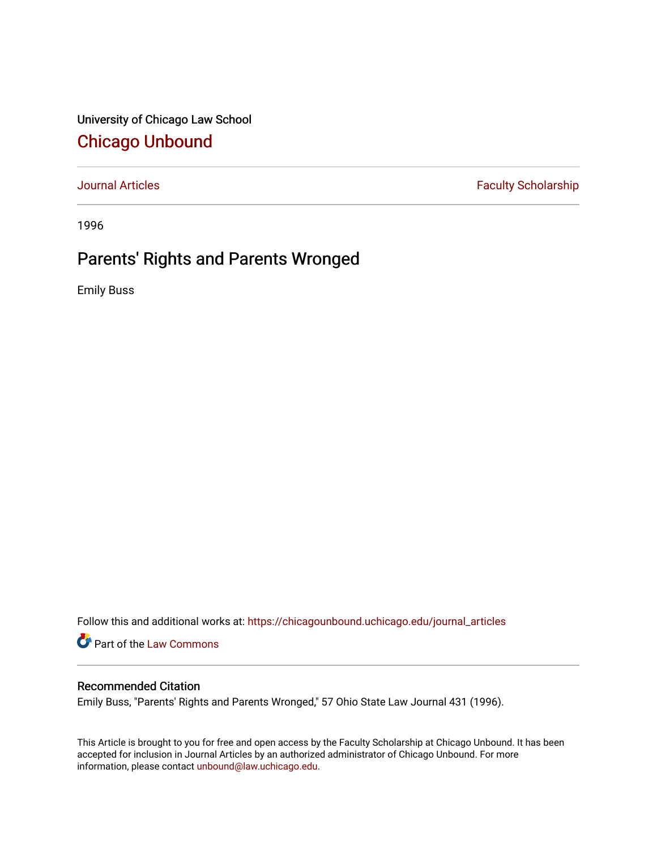University of Chicago Law School [Chicago Unbound](https://chicagounbound.uchicago.edu/)

[Journal Articles](https://chicagounbound.uchicago.edu/journal_articles) **Faculty Scholarship Faculty Scholarship** 

1996

# Parents' Rights and Parents Wronged

Emily Buss

Follow this and additional works at: [https://chicagounbound.uchicago.edu/journal\\_articles](https://chicagounbound.uchicago.edu/journal_articles?utm_source=chicagounbound.uchicago.edu%2Fjournal_articles%2F1084&utm_medium=PDF&utm_campaign=PDFCoverPages) 

Part of the [Law Commons](http://network.bepress.com/hgg/discipline/578?utm_source=chicagounbound.uchicago.edu%2Fjournal_articles%2F1084&utm_medium=PDF&utm_campaign=PDFCoverPages)

### Recommended Citation

Emily Buss, "Parents' Rights and Parents Wronged," 57 Ohio State Law Journal 431 (1996).

This Article is brought to you for free and open access by the Faculty Scholarship at Chicago Unbound. It has been accepted for inclusion in Journal Articles by an authorized administrator of Chicago Unbound. For more information, please contact [unbound@law.uchicago.edu](mailto:unbound@law.uchicago.edu).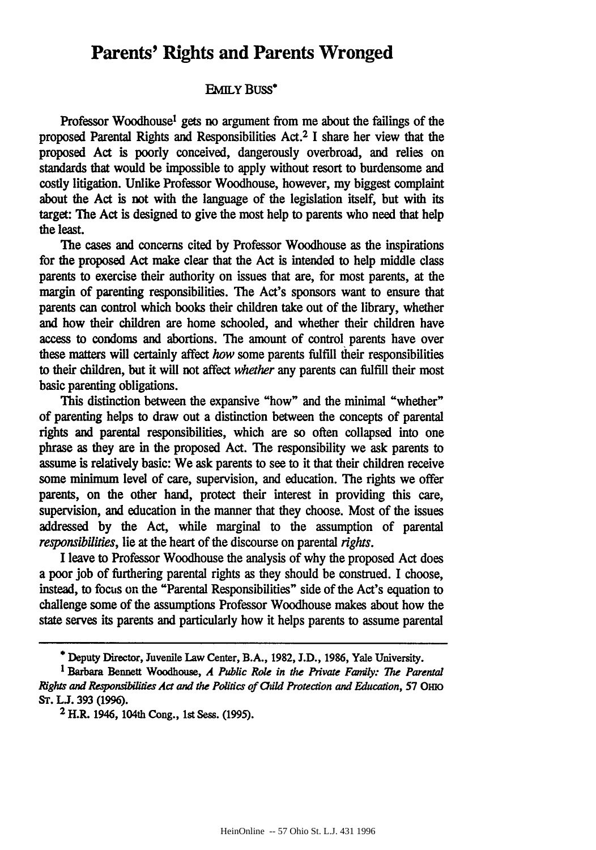## **Parents' Rights and Parents Wronged**

#### **EMILY** Buss\*

Professor Woodhouse' gets no argument from me about the failings of the proposed Parental Rights and Responsibilities Act.2 **I** share her view that the proposed Act is poorly conceived, dangerously overbroad, and relies on **standards** that would be impossible to apply without resort to burdensome and costly litigation. Unlike Professor Woodhouse, however, my biggest complaint about the Act is not with the language of the legislation itself, but with its target: The Act is designed to give the most help to parents who need that help the least.

The cases and concerns cited by Professor Woodhouse as the inspirations for the proposed Act make clear that the Act is intended to help middle class parents to exercise their authority on issues that are, for most parents, at the margin of parenting responsibilities. The Act's sponsors want to ensure that parents can control which books their children take out of the library, whether and how their children are home schooled, and whether their children have access to condoms and abortions. The amount of control parents have over these matters will certainly affect *how* some parents fulfill their responsibilities to their children, but it will not affect *whether* any parents can fulfill their most basic parenting obligations.

This distinction between the expansive "how" and the minimal "whether" of parenting helps to draw out a distinction between the concepts of parental rights and parental responsibilities, which are so often collapsed into one phrase as they are in the proposed Act. The responsibility we ask parents to assume is relatively basic: We ask parents to see to it that their children receive some minimum level of care, supervision, and education. The rights we offer parents, on the other hand, protect their interest in providing this care, supervision, and education in the manner that they choose. Most of the issues addressed **by** the Act, while marginal to the assumption of parental *responsibilities,* lie at the heart of the discourse on parental *rights.*

I leave to Professor Woodhouse the analysis of why the proposed Act does a poor **job** of furthering parental rights as they should be construed. **I** choose, instead, to focus on the "Parental Responsibilities" side of the Act's equation to challenge some of the assumptions Professor Woodhouse makes about how the state serves its parents and particularly how it helps parents to assume parental

**<sup>\*</sup>** Deputy Director, Juvenile Law Center, B.A., **1982, J.D., 1986,** Yale University.

<sup>1</sup>Barbara Bennett Woodhouse, *A Public Role in the Pivate Family: The Parental Rights and Responsibilities Act and the Politics of Child Protection and Education, 57 OHO* **ST. LJ. 393 (1996).**

**<sup>2</sup>** H.R. 1946, 104th Cong., 1st Sess. **(1995).**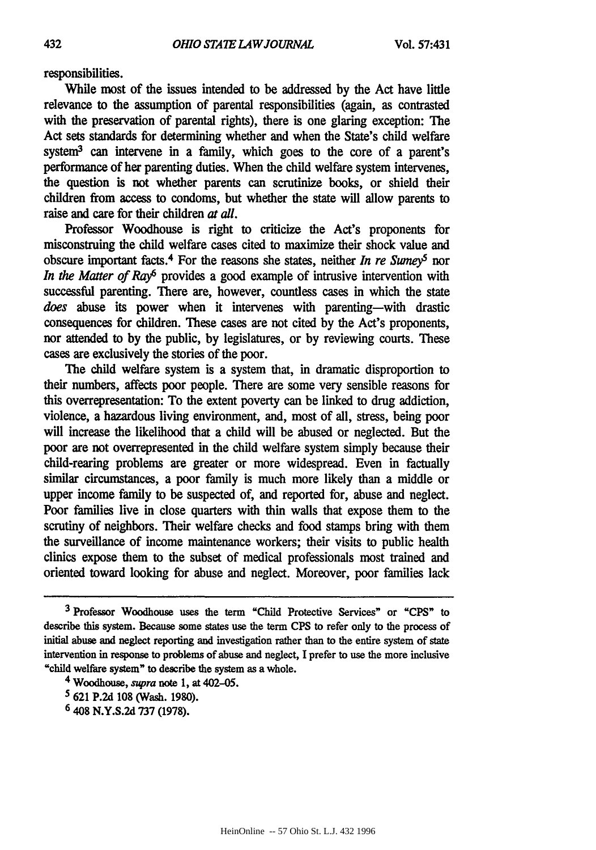responsibilities.

While most of the issues intended to be addressed **by** the **Act** have little relevance to the assumption of parental responsibilities (again, as contrasted with the preservation of parental rights), there is one glaring exception: The Act sets standards for determining whether and when the State's child welfare system3 can intervene in a family, which goes to the core of a parent's performance of her parenting duties. When the child welfare system intervenes, the question is not whether parents can scrutinize books, or shield their children from access to condoms, but whether the state will allow parents to raise and care for their children at all.

Professor Woodhouse is right to criticize the Act's proponents for misconstruing the child welfare cases cited to maximize their shock value and obscure important facts.<sup>4</sup> For the reasons she states, neither *In re Sume* $\gamma^5$  nor *In the Matter of Ray*<sup>6</sup> provides a good example of intrusive intervention with successful parenting. There are, however, countless cases in which the state *does* abuse its power when it intervenes with parenting-with drastic consequences for children. These cases are not cited **by** the Act's proponents, nor attended to **by** the public, **by** legislatures, or **by** reviewing courts. These cases are exclusively the stories of the poor.

The **child** welfare system is a system that, in dramatic disproportion to their numbers, affects poor people. There are some very sensible reasons for this overrepresentation: To the extent poverty can be linked to drug addiction, violence, a hazardous living environment, and, most of all, stress, being poor will increase the likelihood that a child will be abused or neglected. But the poor are not overrepresented in the child welfare system simply because their child-rearing problems are greater or more widespread. Even in factually similar circumstances, a poor family is much more likely than a middle or upper income family to be suspected of, and reported for, abuse and neglect. Poor families live in close quarters with thin walls that expose them to the scrutiny of neighbors. Their welfare checks and food stamps bring with them the surveillance of income maintenance workers; their visits to public health clinics expose them to the subset of medical professionals most trained and oriented toward looking for abuse and neglect. Moreover, poor families lack

**6** 408 **N.Y.S.2d 737 (1978).**

**<sup>3</sup>**Professor Woodhouse uses the term **"Child** Protective Services" or **"CPS"** to describe this system. Because some states use the term **CPS** to refer only to the process of initial abuse and neglect reporting and investigation rather than to the entire system of state intervention in response to problems of abuse and neglect, I prefer to use the more inclusive "child welfare system" to describe the system as a whole.

*<sup>4</sup>* Woodhouse, **supra** note **1,** at 402-05.

**<sup>5 621</sup> P.2d 108** (Wash. **1980).**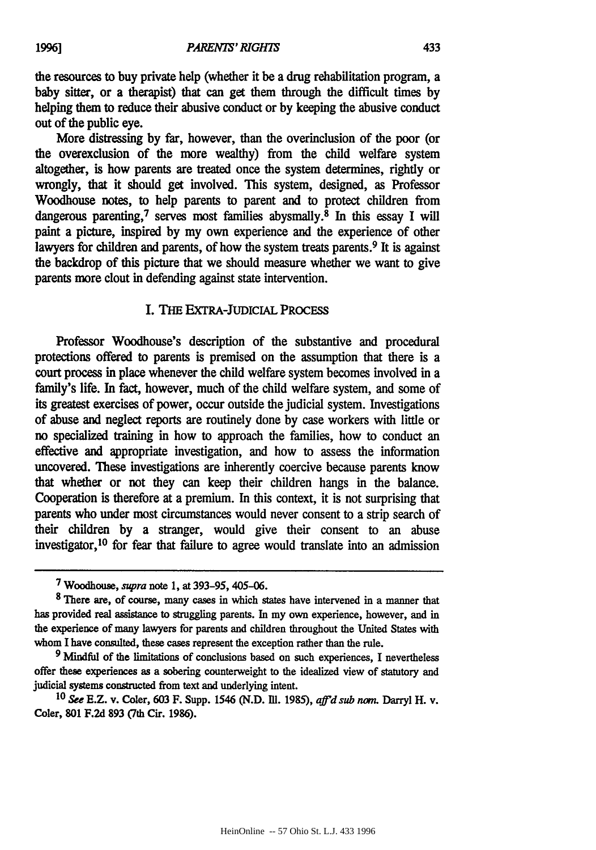the resources to buy private help (whether it be a drug rehabilitation program, a baby sitter, or a therapist) that can get them through the difficult times **by** helping them to reduce their abusive conduct or **by** keeping the abusive conduct out of the public eye.

More distressing **by** far, however, than the overinclusion of the poor (or the overexclusion of the more wealthy) from the child welfare system altogether, is how parents are treated once the system determines, rightly or wrongly, that it should get involved. This system, designed, as Professor Woodhouse notes, to help parents to parent and to protect children from dangerous parenting,<sup>7</sup> serves most families abysmally.<sup>8</sup> In this essay I will paint a picture, inspired **by** my own experience and the experience of other lawyers for children and parents, of how the system treats parents.<sup>9</sup> It is against the backdrop of this picture that we should measure whether we want to give parents more clout in defending against state intervention.

#### I. **THE** EXTRA-JUDICIAL PROCESS

Professor Woodhouse's description of the substantive and procedural protections offered to parents is premised on the assumption that there is a court process in place whenever the child welfare system becomes involved in a family's life. In fact, however, much of the child welfare system, and some of its greatest exercises of power, occur outside the judicial system. Investigations of abuse and neglect reports are routinely done **by** case workers with little or no specialized training in how to approach the families, how to conduct an effective and appropriate investigation, and how to assess the information uncovered. These investigations are inherently coercive because parents know that whether or not they can keep their children hangs in the balance. Cooperation is therefore at a premium. In this context, it is not surprising that parents who under most circumstances would never consent to a strip search of their children **by** a stranger, would give their consent to an abuse investigator,  $^{10}$  for fear that failure to agree would translate into an admission

*<sup>7</sup>* Woodhouse, supra note 1, at **393-95,** 405-06.

**<sup>8</sup>** There are, of course, many cases in which states have intervened in a manner that has provided real assistance to struggling parents. In my own experience, however, and in the experience of many lawyers for parents and children throughout the United States with whom I have consulted, these cases represent the exception rather than the rule.

**<sup>9</sup>** Mindful of the limitations of conclusions based on such experiences, I nevertheless offer these experiences as a sobering counterweight to the idealized view of statutory and judicial systems constructed from text and underlying intent.

<sup>10</sup>*See* E.Z. v. Coler, 603 F. Supp. 1546 (N.D. IM. 1985), *affd sub non.* Darryl H. v. Coler, **801 F.2d 893** (7th Cir. 1986).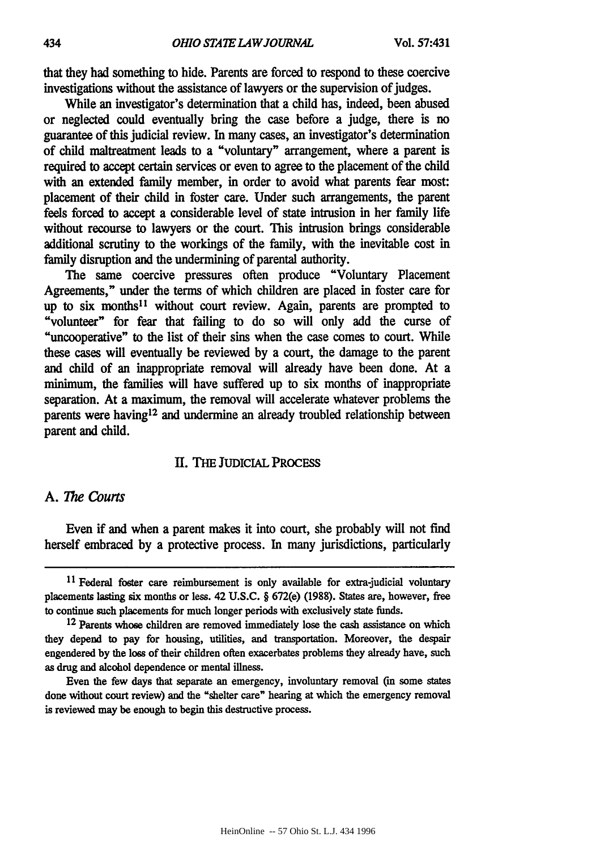that they had something to hide. Parents are forced to respond to these coercive investigations without the assistance of lawyers or the supervision of judges.

While an investigator's determination that a child has, indeed, been abused or neglected could eventually bring the case before a judge, there is no guarantee of this judicial review. In many cases, an investigator's determination of child maltreatment leads to a "voluntary" arrangement, where a parent is required to accept certain services or even to agree to the placement of the child with an extended family member, in order to avoid what parents fear most: placement of their child in foster care. Under such arrangements, the parent feels forced to accept a considerable level of state intrusion in her family life without recourse to lawyers or the court. This intrusion brings considerable additional scrutiny to the workings of the family, with the inevitable cost in family disruption and the undermining of parental authority.

The same coercive pressures often produce "Voluntary Placement Agreements," under the terms of which children are placed in foster care for up to six months'1 without court review. Again, parents are prompted to "volunteer" for fear that failing to do so will only add the curse of "uncooperative" to the list of their sins when the case comes to court. While these cases will eventually be reviewed **by** a court, the damage to the parent and child of an inappropriate removal will already have been done. At a minimum, the families will have suffered up to six months of inappropriate separation. At a maximum, the removal will accelerate whatever problems the parents were having<sup>12</sup> and undermine an already troubled relationship between parent and child.

#### **11. THE** JUDIcIAL PRocEss

#### **A.** *The Courts*

Even if and when a parent makes it into court, she probably will not find herself embraced **by** a protective process. In many jurisdictions, particularly

Even the few days that separate an emergency, involuntary removal **(m** some states done without court review) and the "shelter care" hearing at which the emergency removal is reviewed may be enough to begin this destructive process.

<sup>&</sup>lt;sup>11</sup> Federal foster care reimbursement is only available for extra-judicial voluntary placements lasting six months or less. 42 **U.S.C.** § 672(e) **(1988).** States are, however, **free** to continue such placements for much longer periods with exclusively state funds.

**<sup>12</sup>**Parents whose children are removed immediately lose the cash assistance on which they depend to pay for housing, utilities, and transportation. Moreover, the despair engendered **by** the loss of their children often exacerbates problems they already have, such as drug and alcohol dependence or mental illness.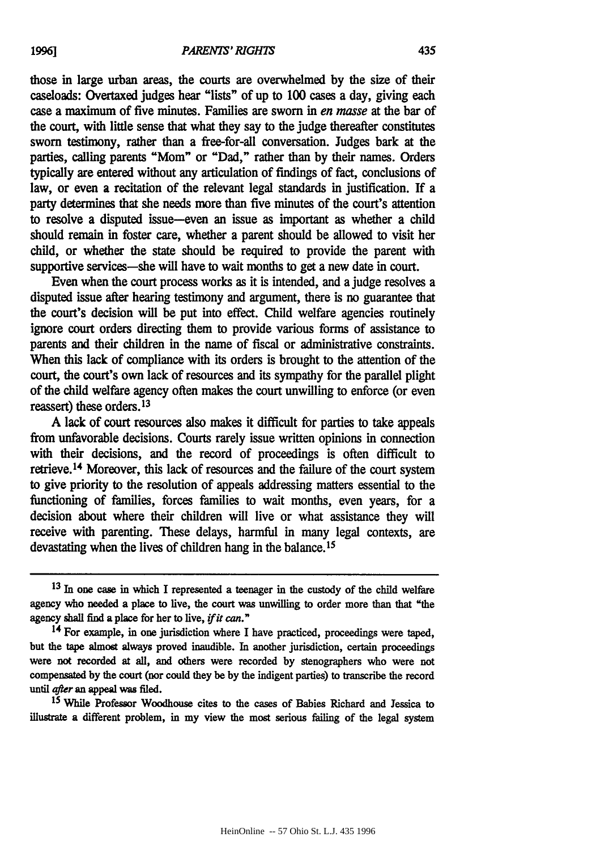those in large urban areas, the courts are overwhelmed **by** the size of their caseloads: Overtaxed judges hear "lists" of up to **100** cases a day, giving each case a maximum of five minutes. Families are sworn in *en masse* at the bar of the court, with little sense that what they say to the judge thereafter constitutes sworn testimony, rather than a free-for-all conversation. Judges bark at the parties, calling parents "Mom" or "Dad," rather than **by** their names. Orders typically are entered without any articulation of findings of fact, conclusions of law, or even a recitation of the relevant legal standards in justification. If a party determines that she needs more than five minutes of the court's attention to resolve a disputed issue-even an issue as important as whether a child should remain in foster care, whether a parent should be allowed to visit her child, or whether the state should be required to provide the parent with supportive services—she will have to wait months to get a new date in court.

Even when the court process works as it is intended, and a judge resolves a disputed issue after hearing testimony and argument, there is no guarantee that the court's decision will be put into effect. Child welfare agencies routinely ignore court orders directing them to provide various forms of assistance to parents and their children in the name of fiscal or administrative constraints. When this lack of compliance with its orders is brought to the attention of the court, the court's own lack of resources and its sympathy for the parallel plight of the child welfare agency often makes the court unwilling to enforce (or even reassert) these orders. <sup>13</sup>

A lack of court resources also makes it difficult for parties to take appeals from unfavorable decisions. Courts rarely issue written opinions in connection with their decisions, and the record of proceedings is often difficult to retrieve. <sup>1</sup> 4 Moreover, this lack of resources and the failure of the court system to give priority to the resolution of appeals addressing matters essential to the functioning of families, forces families to walt months, even years, for a decision about where their children will live or what assistance they will receive with parenting. These delays, harmful in many legal contexts, are devastating when the lives of children hang in the balance.<sup>15</sup>

**<sup>15</sup>**While Professor Woodhouse cites to the cases of Babies Richard and Jessica to illustrate a different problem, in my view the most serious failing of the legal system

**<sup>13</sup>**In one case in which **I** represented a teenager in the custody of the child welfare agency who needed a place to live, the court was unwilling to order more than that "the agency shall find a place for her to live, *ifit* **can."**

**<sup>14</sup> For** example, in one jurisdiction where I have practiced, proceedings were taped, but the tape almost always proved inaudible. In another jurisdiction, certain proceedings were not recorded at all, and others were recorded **by** stenographers who were not compensated **by** the court (nor could they be **by** the indigent parties) **to** transcribe the record until *after* an appeal was filed.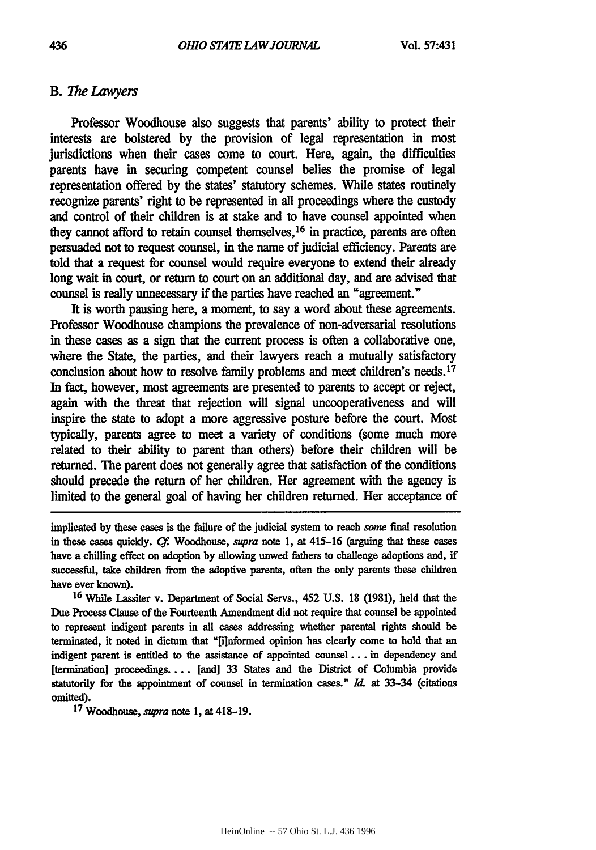#### **B.** *The Lawyers*

Professor Woodhouse also suggests that parents' ability to protect their interests are bolstered **by** the provision of legal representation in most jurisdictions when their cases come to court. Here, again, the difficulties parents have in securing competent counsel belies the promise of legal representation offered **by** the states' statutory schemes. While states routinely recognize parents' right to be represented in all proceedings where the custody and control of their children is at stake and to have counsel appointed when they cannot afford to retain counsel themselves, 16 in practice, parents are often persuaded not to request counsel, in the name of judicial efficiency. Parents are told that a request for counsel would require everyone to extend their already long wait in court, or return to court on an additional day, and are advised that counsel is really unnecessary if the parties have reached an "agreement."

It is worth pausing here, a moment, to say a word about these agreements. Professor Woodhouse champions the prevalence of non-adversarial resolutions in these cases as a sign that the current process is often a collaborative one, where the State, the parties, and their lawyers reach a mutually satisfactory conclusion about how to resolve family problems and meet children's needs. <sup>17</sup> In fact, however, most agreements are presented to parents to accept or reject, again with the threat that rejection will signal uncooperativeness and will inspire the state to adopt a more aggressive posture before the court. Most typically, parents agree to meet a variety of conditions (some much more related to their ability to parent than others) before their children will be returned. The parent does not generally agree that satisfaction of the conditions should precede the return of her children. Her agreement with the agency is limited to the general goal of having her children returned. Her acceptance of

implicated **by** these cases is the failure of the judicial system to reach some final resolution in these cases quickly. **C.** Woodhouse, supra note **1,** at 415-16 (arguing that these cases have a chilling effect on adoption **by** allowing unwed fathers to challenge adoptions and, if successful, take children from the adoptive parents, often the only parents these children have ever known).

**<sup>16</sup>**While Lassiter v. Department of Social Servs., **452 U.S. 18 (1981),** held that the Due Process Clause of the Fourteenth Amendment did not require that counsel be appointed to represent indigent parents in all cases addressing whether parental rights should be terminated, it noted in dictum **that** "[informed opinion has clearly come to hold that an indigent parent is entitled to the assistance of appointed **counsel...** in dependency and [termination] proceedings.... [and] 33 States and the District of Columbia provide statutorily for the appointment of counsel in termination cases." **Id.** at 33-34 (citations omitted). **<sup>17</sup>** Woodhouse, supra note **1,** at 418-19.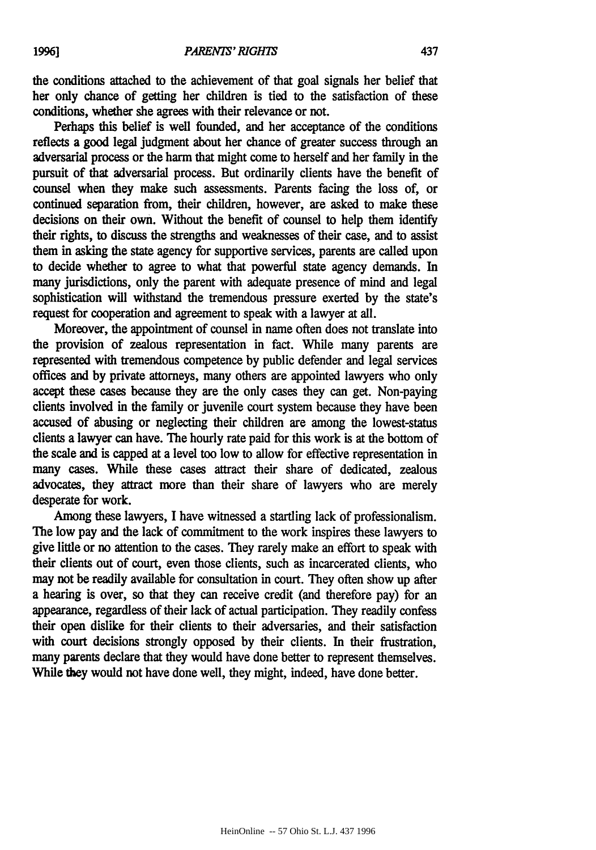the conditions attached to the achievement of that goal signals her belief that her only chance of getting her children is tied to the satisfaction of these conditions, whether she agrees with their relevance or not.

Perhaps this belief is well founded, and her acceptance of the conditions reflects a good legal judgment about her chance of greater success through an adversarial process or the harm that might come to herself and her family in the pursuit of that adversarial process. But ordinarily clients have the benefit of counsel when they make such assessments. Parents facing the loss of, or continued separation from, their children, however, are asked to make these decisions on their own. Without the benefit of counsel to help them identify their rights, to discuss the strengths and weaknesses of their case, and to assist them in asking the state agency for supportive services, parents are called upon to decide whether to agree to what that powerful state agency demands. In many jurisdictions, only the parent with adequate presence of mind and legal sophistication will withstand the tremendous pressure exerted **by** the state's request for cooperation and agreement to **speak** with a lawyer at all.

Moreover, the appointment of counsel in name often does not translate into the provision of zealous representation in fact. While many parents are represented with tremendous competence **by** public defender and legal services offices and **by** private attorneys, many others are appointed lawyers who only accept these cases because they are the only cases they can get. Non-paying clients involved in the family or juvenile court system because they have been accused of abusing or neglecting their children are among the lowest-status clients a lawyer can have. The hourly rate paid for this work is at the bottom of the scale and is capped at a level too low to allow for effective representation in many cases. While these cases attract their share of dedicated, zealous advocates, they attract more than their share of lawyers who are merely desperate for work.

Among these lawyers, **I** have witnessed a startling lack of professionalism. The low pay and the lack of commitment to the work inspires these lawyers to give little or no attention to the cases. They rarely make an effort to speak with their clients out of court, even those clients, such as incarcerated clients, who may not be readily available for consultation in court. They often show up after a hearing is over, so that they can receive credit (and therefore pay) for an appearance, regardless of their lack of actual participation. They readily confess their open dislike for their clients to their adversaries, and their satisfaction with court decisions strongly opposed **by** their clients. In their frustration, many parents declare that they would have done better to represent themselves. While they would not have done well, they might, indeed, have done better.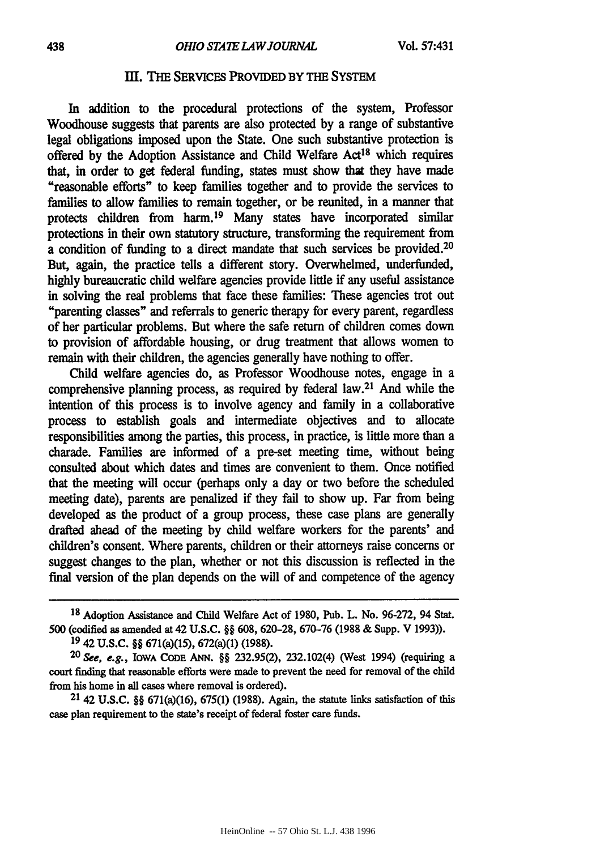#### **IT. THE** SERVICES PROVIDED BY THE SYSTEM

In addition to the procedural protections of the system, Professor Woodhouse suggests that parents are also protected **by** a range of substantive legal obligations imposed upon the State. One such substantive protection is offered **by** the Adoption Assistance and **Child** Welfare Act18 which requires that, in order to get federal funding, states must show **that** they have made "reasonable efforts" to keep families together and to provide the services to families to allow families to remain together, or be reunited, in a manner that protects children from harm. 19 Many states have incorporated similar protections in their own statutory structure, transforming the requirement from a condition of **funding** to a direct mandate that such services be provided.<sup>20</sup> But, again, the practice tells a different story. Overwhelmed, underfunded, **highly** bureaucratic child welfare agencies provide little if any useful assistance in solving the real problems that face these families: These agencies trot out "parenting classes" and referrals to generic therapy for every parent, regardless of her particular problems. But where the safe return of children comes down to provision of affordable housing, or drug treatment that allows women to remain with their children, the agencies generally have nothing to offer.

Child welfare agencies do, as Professor Woodhouse notes, engage in a comprehensive planning process, as required by federal law.21 And while the intention of this process is to involve agency and family in a collaborative process to establish goals and intermediate objectives and to allocate responsibilities among the parties, this process, in practice, is little more than a charade. Families are informed of a pre-set meeting time, without being consulted about which dates and times are convenient to them. Once notified that the meeting will occur (perhaps only a day or two before the scheduled meeting date), parents are penalized if they fail to show up. Far from being developed as the product of a group process, these case plans are generally drafted ahead of the meeting by child welfare workers for the parents' and children's consent. Where parents, children or their attorneys raise concerns or suggest changes to the plan, whether or not this discussion is reflected in the final version of the plan depends on the will of and competence of the agency

21 42 **U.S.C.** §§ 671(a)(16), **675(1) (1988).** Again, the statute links satisfaction of this case plan requirement to the state's receipt of federal foster care funds.

**<sup>18</sup>** Adoption Assistance and Child Welfare Act of 1980, Pub. L. No. 96-272, 94 Stat. 500 (codified as amended at 42 U.S.C. §§ 608, 620-28, 670-76 (1988 & Supp. V 1993)).

**<sup>19</sup>** 42 **U.S.C. §§** 671(a)(15), 672(a)(1) **(1988).**

<sup>20</sup> **See,** e.g., IOWA **CODE ANN.** §§ 232.95(2), 232.102(4) (West 1994) (requiring a court finding that reasonable efforts were made to prevent the need for removal of the child from his home in all cases where removal is ordered).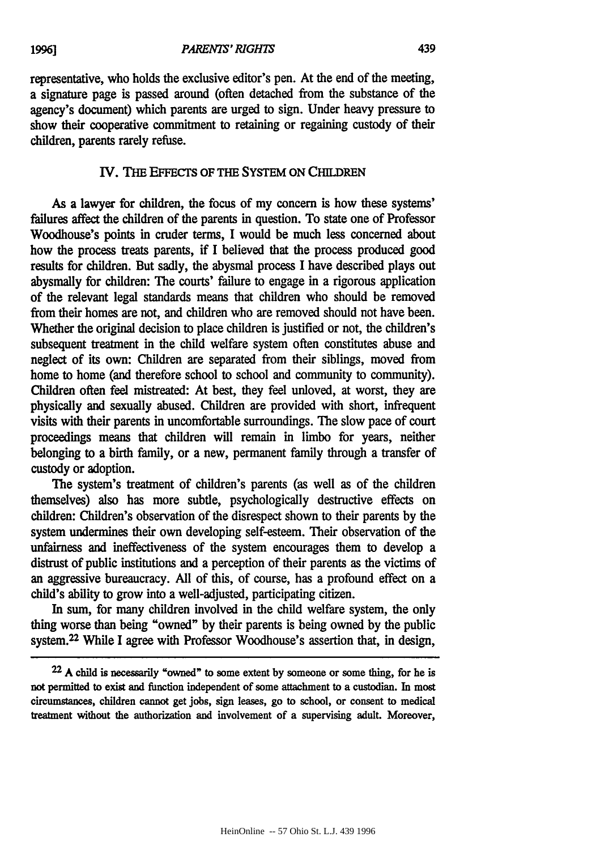representative, who holds the exclusive editor's pen. At the end of the meeting, a signature page is passed around (often detached from the substance of the agency's document) which parents are urged to sign. Under heavy pressure to show their cooperative commitment to retaining or regaining custody of their children, parents rarely refuse.

#### IV. THE EFFECTS OF THE SYSTEM ON CHILDREN

As a lawyer for children, the focus of my concern is how these systems' failures affect the children of the parents in question. To state one of Professor Woodhouse's points in cruder terms, **I** would be much less concerned about how the process treats parents, if I believed that the process produced good results for children. But sadly, the abysmal process I have described plays out abysmally for children: The courts' failure to engage in a rigorous application of the relevant legal standards means that children who should be removed from their homes are not, and children who are removed should not have been. Whether the original decision to place children is justified or not, the children's subsequent treatment in the child welfare system often constitutes abuse and neglect of its own: Children are separated from their siblings, moved from home **to** home (and therefore school to school and community **to** community). Children often feel mistreated: At best, they feel unloved, at worst, they are physically and sexually abused. Children are provided with short, infrequent visits with their parents in uncomfortable surroundings. The slow pace of court proceedings means that children will remain in limbo for years, neither belonging to a birth family, or a new, permanent family through a transfer of custody or adoption.

**The** system's treatment of children's parents (as well as of the children themselves) also has more subtle, psychologically destructive effects on children: Children's observation of the disrespect shown to their parents **by** the system undermines their own developing self-esteem. Their observation of the unfairness and ineffectiveness of the system encourages them to develop a distrust of public institutions and a perception of their parents as the victims of an aggressive bureaucracy. **All** of this, of course, has a profound effect on a child's ability to grow into a well-adjusted, participating citizen.

In sum, for many children involved in the **child** welfare system, the only thing worse than being "owned" **by** their parents is being owned **by** the public system.22 While **I** agree with Professor Woodhouse's assertion that, in design,

**22 A** child is necessarily "owned" to some extent **by** someone or some thing, for he is not permitted to exist and function independent of some attachment to a custodian. In most circumstances, children cannot get jobs, sign leases, go to school, or consent to medical treatment without the authorization and involvement of a supervising adult. Moreover,